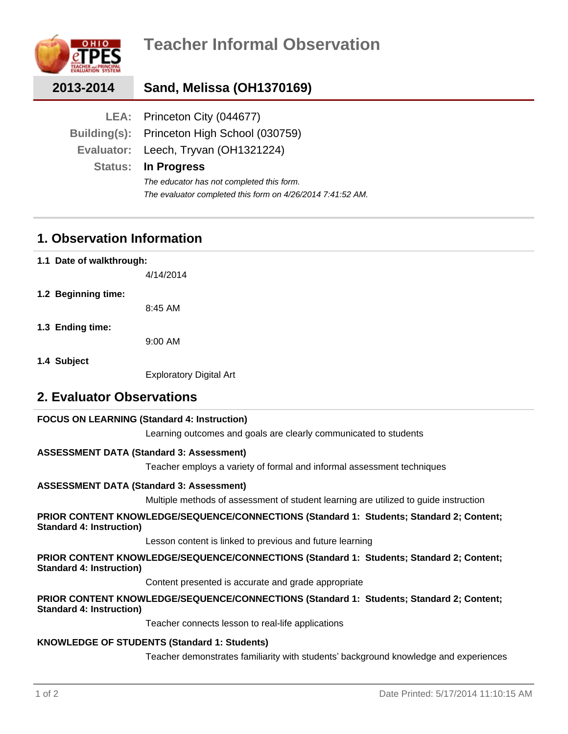

| 2013-2014 | Sand, Melissa (OH1370169)                                 |
|-----------|-----------------------------------------------------------|
|           | LEA: Princeton City (044677)                              |
|           | Building(s): Princeton High School (030759)               |
|           | Evaluator: Leech, Tryvan (OH1321224)                      |
|           | <b>Status: In Progress</b>                                |
|           | The educator has not completed this form.                 |
|           | The evaluator completed this form on 4/26/2014 7:41:52 AM |

## **1. Observation Information**

**1.1 Date of walkthrough:**

4/14/2014

**1.2 Beginning time:**

8:45 AM

**1.3 Ending time:**

9:00 AM

**1.4 Subject**

Exploratory Digital Art

## **2. Evaluator Observations**

## **FOCUS ON LEARNING (Standard 4: Instruction)**

Learning outcomes and goals are clearly communicated to students

## **ASSESSMENT DATA (Standard 3: Assessment)**

Teacher employs a variety of formal and informal assessment techniques

## **ASSESSMENT DATA (Standard 3: Assessment)**

Multiple methods of assessment of student learning are utilized to guide instruction

## **PRIOR CONTENT KNOWLEDGE/SEQUENCE/CONNECTIONS (Standard 1: Students; Standard 2; Content; Standard 4: Instruction)**

Lesson content is linked to previous and future learning

**PRIOR CONTENT KNOWLEDGE/SEQUENCE/CONNECTIONS (Standard 1: Students; Standard 2; Content; Standard 4: Instruction)**

Content presented is accurate and grade appropriate

#### **PRIOR CONTENT KNOWLEDGE/SEQUENCE/CONNECTIONS (Standard 1: Students; Standard 2; Content; Standard 4: Instruction)**

Teacher connects lesson to real-life applications

## **KNOWLEDGE OF STUDENTS (Standard 1: Students)**

Teacher demonstrates familiarity with students' background knowledge and experiences